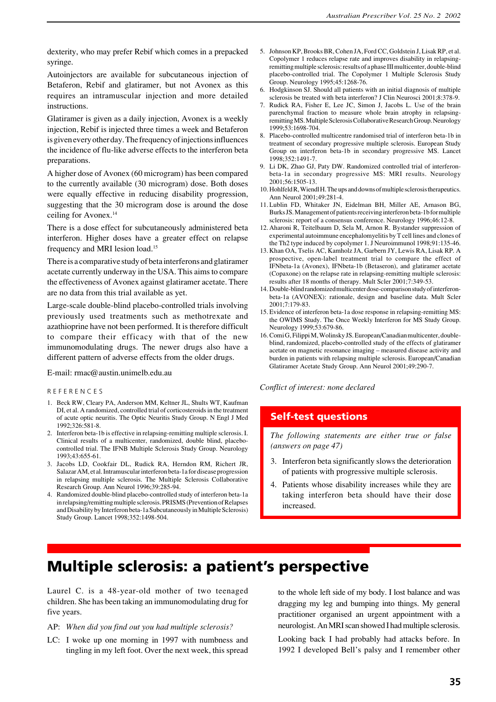dexterity, who may prefer Rebif which comes in a prepacked syringe.

Autoinjectors are available for subcutaneous injection of Betaferon, Rebif and glatiramer, but not Avonex as this requires an intramuscular injection and more detailed instructions.

Glatiramer is given as a daily injection, Avonex is a weekly injection, Rebif is injected three times a week and Betaferon is given every other day. The frequency of injections influences the incidence of flu-like adverse effects to the interferon beta preparations.

A higher dose of Avonex (60 microgram) has been compared to the currently available (30 microgram) dose. Both doses were equally effective in reducing disability progression, suggesting that the 30 microgram dose is around the dose ceiling for Avonex.14

There is a dose effect for subcutaneously administered beta interferon. Higher doses have a greater effect on relapse frequency and MRI lesion load.15

There is a comparative study of beta interferons and glatiramer acetate currently underway in the USA. This aims to compare the effectiveness of Avonex against glatiramer acetate. There are no data from this trial available as yet.

Large-scale double-blind placebo-controlled trials involving previously used treatments such as methotrexate and azathioprine have not been performed. It is therefore difficult to compare their efficacy with that of the new immunomodulating drugs. The newer drugs also have a different pattern of adverse effects from the older drugs.

E-mail: rmac@austin.unimelb.edu.au

#### R E F E R E N C E S

- 1. Beck RW, Cleary PA, Anderson MM, Keltner JL, Shults WT, Kaufman DI, et al. A randomized, controlled trial of corticosteroids in the treatment of acute optic neuritis. The Optic Neuritis Study Group. N Engl J Med 1992;326:581-8.
- 2. Interferon beta-1b is effective in relapsing-remitting multiple sclerosis. I. Clinical results of a multicenter, randomized, double blind, placebocontrolled trial. The IFNB Multiple Sclerosis Study Group. Neurology 1993;43:655-61.
- 3. Jacobs LD, Cookfair DL, Rudick RA, Herndon RM, Richert JR, Salazar AM, et al. Intramuscular interferon beta-1a for disease progression in relapsing multiple sclerosis. The Multiple Sclerosis Collaborative Research Group. Ann Neurol 1996;39:285-94.
- 4. Randomized double-blind placebo-controlled study of interferon beta-1a in relapsing/remitting multiple sclerosis. PRISMS (Prevention of Relapses and Disability by Interferon beta-1a Subcutaneously in Multiple Sclerosis) Study Group. Lancet 1998;352:1498-504.
- 5. Johnson KP, Brooks BR, Cohen JA, Ford CC, Goldstein J, Lisak RP, et al. Copolymer 1 reduces relapse rate and improves disability in relapsingremitting multiple sclerosis: results of a phase III multicenter, double-blind placebo-controlled trial. The Copolymer 1 Multiple Sclerosis Study Group. Neurology 1995;45:1268-76.
- 6. Hodgkinson SJ. Should all patients with an initial diagnosis of multiple sclerosis be treated with beta interferon? J Clin Neurosci 2001;8:378-9.
- 7. Rudick RA, Fisher E, Lee JC, Simon J, Jacobs L. Use of the brain parenchymal fraction to measure whole brain atrophy in relapsingremitting MS. Multiple Sclerosis Collaborative Research Group. Neurology 1999;53:1698-704.
- 8. Placebo-controlled multicentre randomised trial of interferon beta-1b in treatment of secondary progressive multiple sclerosis. European Study Group on interferon beta-1b in secondary progressive MS. Lancet 1998;352:1491-7.
- 9. Li DK, Zhao GJ, Paty DW. Randomized controlled trial of interferonbeta-1a in secondary progressive MS: MRI results. Neurology 2001;56:1505-13.
- 10. Hohlfeld R, Wiendl H. The ups and downs of multiple sclerosis therapeutics. Ann Neurol 2001;49:281-4.
- 11. Lublin FD, Whitaker JN, Eidelman BH, Miller AE, Arnason BG, Burks JS. Management of patients receiving interferon beta-1b for multiple sclerosis: report of a consensus conference. Neurology 1996;46:12-8.
- 12. Aharoni R, Teitelbaum D, Sela M, Arnon R. Bystander suppression of experimental autoimmune encephalomyelitis by T cell lines and clones of the Th2 type induced by copolymer 1. J Neuroimmunol 1998;91:135-46.
- 13. Khan OA, Tselis AC, Kamholz JA, Garbern JY, Lewis RA, Lisak RP. A prospective, open-label treatment trial to compare the effect of IFNbeta-1a (Avonex), IFNbeta-1b (Betaseron), and glatiramer acetate (Copaxone) on the relapse rate in relapsing-remitting multiple sclerosis: results after 18 months of therapy. Mult Scler 2001;7:349-53.
- 14. Double-blind randomized multicenter dose-comparison study of interferonbeta-1a (AVONEX): rationale, design and baseline data. Mult Scler 2001;7:179-83.
- 15. Evidence of interferon beta-1a dose response in relapsing-remitting MS: the OWIMS Study. The Once Weekly Interferon for MS Study Group. Neurology 1999;53:679-86.
- 16. Comi G, Filippi M, Wolinsky JS. European/Canadian multicenter, doubleblind, randomized, placebo-controlled study of the effects of glatiramer acetate on magnetic resonance imaging – measured disease activity and burden in patients with relapsing multiple sclerosis. European/Canadian Glatiramer Acetate Study Group. Ann Neurol 2001;49:290-7.

*Conflict of interest: none declared*

#### **Self-test questions**

*The following statements are either true or false (answers on page 47)*

- 3. Interferon beta significantly slows the deterioration of patients with progressive multiple sclerosis.
- 4. Patients whose disability increases while they are taking interferon beta should have their dose increased.

# **Multiple sclerosis: a patient's perspective**

Laurel C. is a 48-year-old mother of two teenaged children. She has been taking an immunomodulating drug for five years.

- AP: *When did you find out you had multiple sclerosis?*
- LC: I woke up one morning in 1997 with numbness and tingling in my left foot. Over the next week, this spread

to the whole left side of my body. I lost balance and was dragging my leg and bumping into things. My general practitioner organised an urgent appointment with a neurologist. An MRI scan showed I had multiple sclerosis.

Looking back I had probably had attacks before. In 1992 I developed Bell's palsy and I remember other